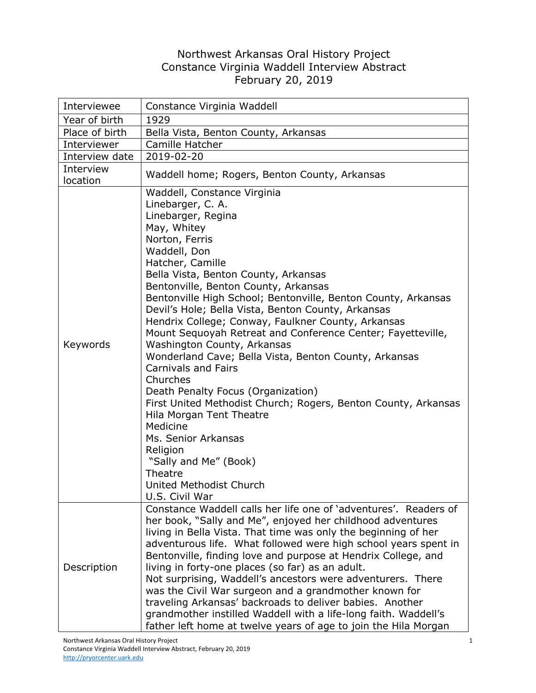## Northwest Arkansas Oral History Project Constance Virginia Waddell Interview Abstract February 20, 2019

| Interviewee           | Constance Virginia Waddell                                                                                                                                                                                                                                                                                                                                                                                                                                                                                                                                                                                                                                                                                                                                                                                                                                                                                                                        |
|-----------------------|---------------------------------------------------------------------------------------------------------------------------------------------------------------------------------------------------------------------------------------------------------------------------------------------------------------------------------------------------------------------------------------------------------------------------------------------------------------------------------------------------------------------------------------------------------------------------------------------------------------------------------------------------------------------------------------------------------------------------------------------------------------------------------------------------------------------------------------------------------------------------------------------------------------------------------------------------|
| Year of birth         | 1929                                                                                                                                                                                                                                                                                                                                                                                                                                                                                                                                                                                                                                                                                                                                                                                                                                                                                                                                              |
| Place of birth        | Bella Vista, Benton County, Arkansas                                                                                                                                                                                                                                                                                                                                                                                                                                                                                                                                                                                                                                                                                                                                                                                                                                                                                                              |
| Interviewer           | Camille Hatcher                                                                                                                                                                                                                                                                                                                                                                                                                                                                                                                                                                                                                                                                                                                                                                                                                                                                                                                                   |
| Interview date        | 2019-02-20                                                                                                                                                                                                                                                                                                                                                                                                                                                                                                                                                                                                                                                                                                                                                                                                                                                                                                                                        |
| Interview<br>location | Waddell home; Rogers, Benton County, Arkansas                                                                                                                                                                                                                                                                                                                                                                                                                                                                                                                                                                                                                                                                                                                                                                                                                                                                                                     |
| Keywords              | Waddell, Constance Virginia<br>Linebarger, C. A.<br>Linebarger, Regina<br>May, Whitey<br>Norton, Ferris<br>Waddell, Don<br>Hatcher, Camille<br>Bella Vista, Benton County, Arkansas<br>Bentonville, Benton County, Arkansas<br>Bentonville High School; Bentonville, Benton County, Arkansas<br>Devil's Hole; Bella Vista, Benton County, Arkansas<br>Hendrix College; Conway, Faulkner County, Arkansas<br>Mount Sequoyah Retreat and Conference Center; Fayetteville,<br>Washington County, Arkansas<br>Wonderland Cave; Bella Vista, Benton County, Arkansas<br><b>Carnivals and Fairs</b><br>Churches<br>Death Penalty Focus (Organization)<br>First United Methodist Church; Rogers, Benton County, Arkansas<br>Hila Morgan Tent Theatre<br>Medicine<br>Ms. Senior Arkansas<br>Religion<br>"Sally and Me" (Book)<br>Theatre<br>United Methodist Church<br>U.S. Civil War<br>Constance Waddell calls her life one of 'adventures'. Readers of |
| Description           | her book, "Sally and Me", enjoyed her childhood adventures<br>living in Bella Vista. That time was only the beginning of her<br>adventurous life. What followed were high school years spent in<br>Bentonville, finding love and purpose at Hendrix College, and<br>living in forty-one places (so far) as an adult.<br>Not surprising, Waddell's ancestors were adventurers. There<br>was the Civil War surgeon and a grandmother known for<br>traveling Arkansas' backroads to deliver babies. Another<br>grandmother instilled Waddell with a life-long faith. Waddell's<br>father left home at twelve years of age to join the Hila Morgan                                                                                                                                                                                                                                                                                                    |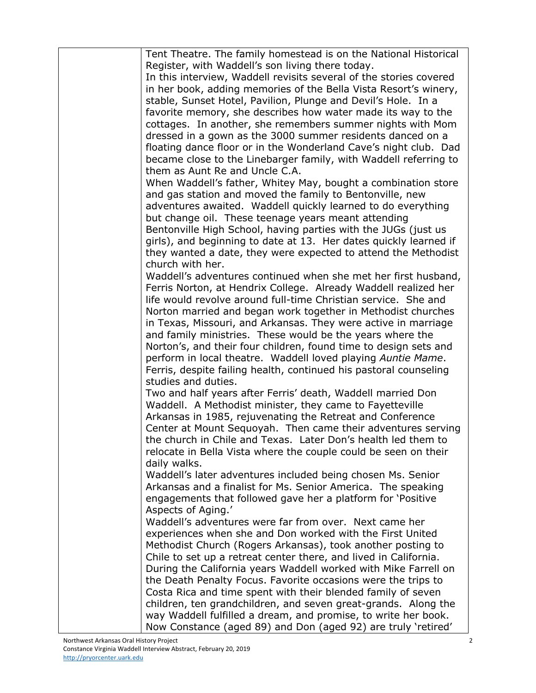| Tent Theatre. The family homestead is on the National Historical                  |
|-----------------------------------------------------------------------------------|
| Register, with Waddell's son living there today.                                  |
| In this interview, Waddell revisits several of the stories covered                |
| in her book, adding memories of the Bella Vista Resort's winery,                  |
| stable, Sunset Hotel, Pavilion, Plunge and Devil's Hole. In a                     |
| favorite memory, she describes how water made its way to the                      |
| cottages. In another, she remembers summer nights with Mom                        |
| dressed in a gown as the 3000 summer residents danced on a                        |
| floating dance floor or in the Wonderland Cave's night club. Dad                  |
| became close to the Linebarger family, with Waddell referring to                  |
| them as Aunt Re and Uncle C.A.                                                    |
| When Waddell's father, Whitey May, bought a combination store                     |
| and gas station and moved the family to Bentonville, new                          |
| adventures awaited. Waddell quickly learned to do everything                      |
| but change oil. These teenage years meant attending                               |
| Bentonville High School, having parties with the JUGs (just us                    |
| girls), and beginning to date at 13. Her dates quickly learned if                 |
| they wanted a date, they were expected to attend the Methodist                    |
| church with her.                                                                  |
| Waddell's adventures continued when she met her first husband,                    |
| Ferris Norton, at Hendrix College. Already Waddell realized her                   |
| life would revolve around full-time Christian service. She and                    |
| Norton married and began work together in Methodist churches                      |
| in Texas, Missouri, and Arkansas. They were active in marriage                    |
| and family ministries. These would be the years where the                         |
| Norton's, and their four children, found time to design sets and                  |
| perform in local theatre. Waddell loved playing Auntie Mame.                      |
| Ferris, despite failing health, continued his pastoral counseling                 |
| studies and duties.                                                               |
| Two and half years after Ferris' death, Waddell married Don                       |
| Waddell. A Methodist minister, they came to Fayetteville                          |
| Arkansas in 1985, rejuvenating the Retreat and Conference                         |
| Center at Mount Sequoyah. Then came their adventures serving                      |
| the church in Chile and Texas. Later Don's health led them to                     |
|                                                                                   |
| relocate in Bella Vista where the couple could be seen on their<br>daily walks.   |
|                                                                                   |
| Waddell's later adventures included being chosen Ms. Senior                       |
| Arkansas and a finalist for Ms. Senior America. The speaking                      |
| engagements that followed gave her a platform for 'Positive<br>Aspects of Aging.' |
| Waddell's adventures were far from over. Next came her                            |
|                                                                                   |
| experiences when she and Don worked with the First United                         |
| Methodist Church (Rogers Arkansas), took another posting to                       |
| Chile to set up a retreat center there, and lived in California.                  |
| During the California years Waddell worked with Mike Farrell on                   |
| the Death Penalty Focus. Favorite occasions were the trips to                     |
| Costa Rica and time spent with their blended family of seven                      |
| children, ten grandchildren, and seven great-grands. Along the                    |
| way Waddell fulfilled a dream, and promise, to write her book.                    |
| Now Constance (aged 89) and Don (aged 92) are truly 'retired'                     |